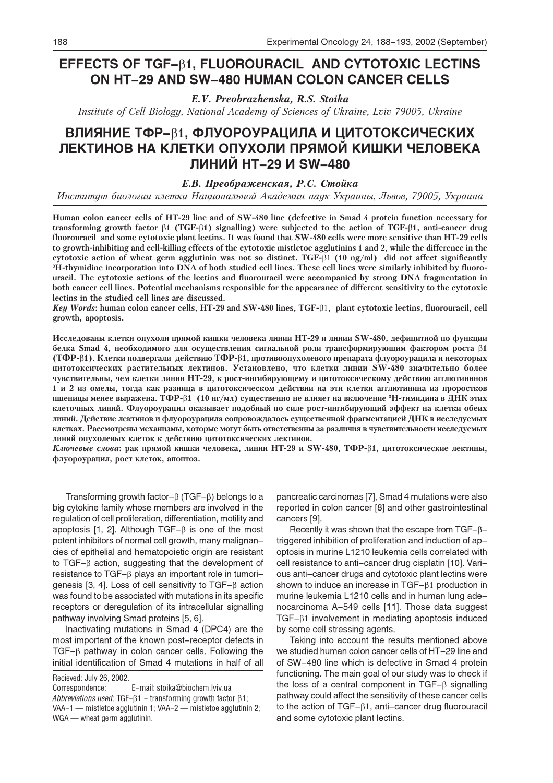# EFFECTS OF TGF-81, FLUOROURACIL AND CYTOTOXIC LECTINS **ON HT-29 AND SW-480 HUMAN COLON CANCER CELLS**

E.V. Preobrazhenska, R.S. Stoika

Institute of Cell Biology, National Academy of Sciences of Ukraine, Lviv 79005, Ukraine

# ВЛИЯНИЕ ТФР- $\beta$ 1, ФЛУОРОУРАЦИЛА И ЦИТОТОКСИЧЕСКИХ ЛЕКТИНОВ НА КЛЕТКИ ОПУХОЛИ ПРЯМОЙ КИШКИ ЧЕЛОВЕКА ЛИНИЙ HT-29 И SW-480

## Е.В. Преображенская, Р.С. Стойка

Институт биологии клетки Национальной Академии наук Украины, Львов, 79005, Украина

Human colon cancer cells of HT-29 line and of SW-480 line (defective in Smad 4 protein function necessary for transforming growth factor  $\beta$ 1 (TGF- $\beta$ 1) signalling) were subjected to the action of TGF- $\beta$ 1, anti-cancer drug fluorouracil and some cytotoxic plant lectins. It was found that SW-480 cells were more sensitive than HT-29 cells to growth-inhibiting and cell-killing effects of the cytotoxic mistletoe agglutinins 1 and 2, while the difference in the cytotoxic action of wheat germ agglutinin was not so distinct. TGF- $\beta$ 1 (10 ng/ml) did not affect significantly <sup>3</sup>H-thymidine incorporation into DNA of both studied cell lines. These cell lines were similarly inhibited by fluorouracil. The cytotoxic actions of the lectins and fluorouracil were accompanied by strong DNA fragmentation in both cancer cell lines. Potential mechanisms responsible for the appearance of different sensitivity to the cytotoxic lectins in the studied cell lines are discussed.

Key Words: human colon cancer cells, HT-29 and SW-480 lines, TGF- $\beta$ 1, plant cytotoxic lectins, fluorouracil, cell growth, apoptosis.

Исследованы клетки опухоли прямой кишки человека линии HT-29 и линии SW-480, дефицитной по функции белка Smad 4, необходимого для осуществления сигнальной роли трансформирующим фактором роста  $\beta$ 1 (ТФР-В1). Клетки подвергали действию ТФР-В1, противоопухолевого препарата флуороурацила и некоторых цитотоксических растительных лектинов. Установлено, что клетки линии SW-480 значительно более чувствительны, чем клетки линии НТ-29, к рост-ингибирующему и цитотоксическому действию агглютининов 1 и 2 из омелы, тогда как разница в цитотоксическом действии на эти клетки агглютинина из проростков пшеницы менее выражена. ТФР- $\beta$ 1 (10 нг/мл) существенно не влияет на включение 3H-тимидина в ДНК этих клеточных линий. Флуороурацил оказывает подобный по силе рост-ингибирующий эффект на клетки обеих линий. Действие лектинов и флуороурацила сопровождалось существенной фрагментацией ДНК в исследуемых клетках. Рассмотрены механизмы, которые могут быть ответственны за различия в чувствительности исследуемых линий опухолевых клеток к действию цитотоксических лектинов.

Ключевые слова: рак прямой кишки человека, линии НТ-29 и SW-480, ТФР- $\beta$ 1, цитотоксические лектины, флуороурацил, рост клеток, апоптоз.

Transforming growth factor- $\beta$  (TGF- $\beta$ ) belongs to a big cytokine family whose members are involved in the regulation of cell proliferation, differentiation, motility and apoptosis [1, 2]. Although  $TGF - \beta$  is one of the most potent inhibitors of normal cell growth, many malignancies of epithelial and hematopoietic origin are resistant to TGF- $\beta$  action, suggesting that the development of resistance to TGF- $\beta$  plays an important role in tumorigenesis [3, 4]. Loss of cell sensitivity to TGF- $\beta$  action was found to be associated with mutations in its specific receptors or deregulation of its intracellular signalling pathway involving Smad proteins [5, 6].

Inactivating mutations in Smad 4 (DPC4) are the most important of the known post-receptor defects in  $TGF-\beta$  pathway in colon cancer cells. Following the initial identification of Smad 4 mutations in half of all

Recieved: July 26, 2002.

E-mail: stoika@biochem.lviv.ua Correspondence: Abbreviations used: TGF- $\beta$ 1 – transforming growth factor  $\beta$ 1; VAA-1 - mistletoe agglutinin 1; VAA-2 - mistletoe agglutinin 2; WGA - wheat germ agglutinin.

pancreatic carcinomas [7], Smad 4 mutations were also reported in colon cancer [8] and other gastrointestinal cancers [9].

Recently it was shown that the escape from  $TGF - \beta$ triggered inhibition of proliferation and induction of apoptosis in murine L1210 leukemia cells correlated with cell resistance to anti-cancer drug cisplatin [10]. Various anti-cancer drugs and cytotoxic plant lectins were shown to induce an increase in  $TGF-\beta1$  production in murine leukemia L1210 cells and in human lung adenocarcinoma A-549 cells [11]. Those data suggest TGF-61 involvement in mediating apoptosis induced by some cell stressing agents.

Taking into account the results mentioned above we studied human colon cancer cells of HT-29 line and of SW-480 line which is defective in Smad 4 protein functioning. The main goal of our study was to check if the loss of a central component in  $TGF-\beta$  signalling pathway could affect the sensitivity of these cancer cells to the action of  $TGF-\beta 1$ , anti-cancer drug fluorouracil and some cytotoxic plant lectins.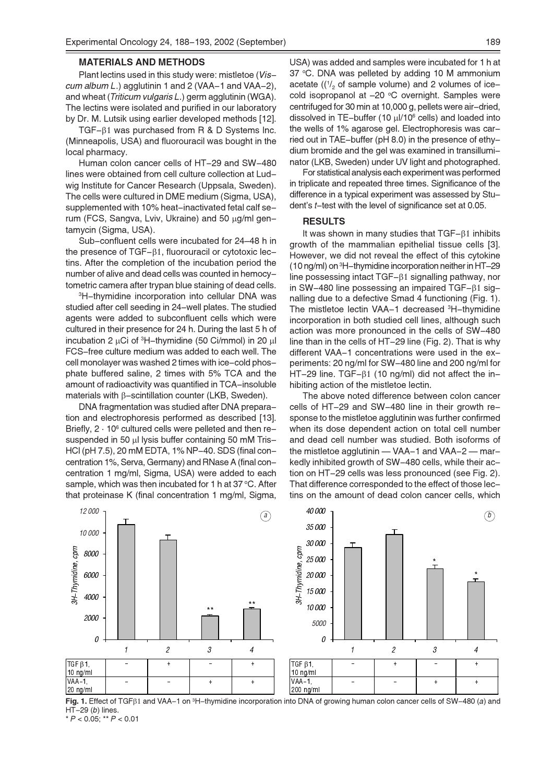#### **MATERIALS AND METHODS**

Plant lectins used in this study were: mistletoe (Viscum album L.) agglutinin 1 and 2 (VAA-1 and VAA-2). and wheat (Triticum vulgaris L.) germ agglutinin (WGA). The lectins were isolated and purified in our laboratory by Dr. M. Lutsik using earlier developed methods [12].

TGF-61 was purchased from R & D Systems Inc. (Minneapolis, USA) and fluorouracil was bought in the local pharmacy.

Human colon cancer cells of HT-29 and SW-480 lines were obtained from cell culture collection at Ludwig Institute for Cancer Research (Uppsala, Sweden). The cells were cultured in DME medium (Sigma, USA), supplemented with 10% heat-inactivated fetal calf serum (FCS, Sangva, Lviv, Ukraine) and 50 µg/ml gentamycin (Sigma, USA).

Sub-confluent cells were incubated for 24-48 h in the presence of  $TGF-\beta1$ , fluorouracil or cytotoxic lectins. After the completion of the incubation period the number of alive and dead cells was counted in hemocytometric camera after trypan blue staining of dead cells.

<sup>3</sup>H-thymidine incorporation into cellular DNA was studied after cell seeding in 24-well plates. The studied agents were added to subconfluent cells which were cultured in their presence for 24 h. During the last 5 h of incubation 2 µCi of <sup>3</sup>H-thymidine (50 Ci/mmol) in 20 µl FCS-free culture medium was added to each well. The cell monolaver was washed 2 times with ice-cold phosphate buffered saline, 2 times with 5% TCA and the amount of radioactivity was quantified in TCA-insoluble materials with  $\beta$ -scintillation counter (LKB, Sweden).

DNA fragmentation was studied after DNA preparation and electrophoresis performed as described [13]. Briefly, 2 · 10<sup>6</sup> cultured cells were pelleted and then resuspended in 50 µl lysis buffer containing 50 mM Tris-HCI (pH 7.5), 20 mM EDTA, 1% NP-40. SDS (final concentration 1%, Serva, Germany) and RNase A (final concentration 1 mg/ml, Sigma, USA) were added to each sample, which was then incubated for 1 h at 37 °C. After that proteinase K (final concentration 1 mg/ml, Sigma,

USA) was added and samples were incubated for 1 h at 37 °C. DNA was pelleted by adding 10 M ammonium acetate ( $\left(\frac{1}{2}\right)$  of sample volume) and 2 volumes of icecold isopropanol at -20 °C overnight. Samples were centrifuged for 30 min at 10,000 g, pellets were air-dried, dissolved in TE-buffer (10 µl/10<sup>6</sup> cells) and loaded into the wells of 1% agarose gel. Electrophoresis was carried out in TAE-buffer (pH 8.0) in the presence of ethydium bromide and the gel was examined in transilluminator (LKB, Sweden) under UV light and photographed.

For statistical analysis each experiment was performed in triplicate and repeated three times. Significance of the difference in a typical experiment was assessed by Student's *t*-test with the level of significance set at 0.05.

#### **RESULTS**

It was shown in many studies that  $TGF-\beta 1$  inhibits growth of the mammalian epithelial tissue cells [3]. However, we did not reveal the effect of this cytokine  $(10 \text{ ng/ml})$  on  $^3$ H-thymidine incorporation neither in HT-29 line possessing intact  $TGF-\beta 1$  signalling pathway, nor in SW-480 line possessing an impaired TGF- $\beta$ 1 signalling due to a defective Smad 4 functioning (Fig. 1). The mistletoe lectin VAA-1 decreased <sup>3</sup>H-thymidine incorporation in both studied cell lines, although such action was more pronounced in the cells of SW-480 line than in the cells of HT-29 line (Fig. 2). That is why different VAA-1 concentrations were used in the experiments: 20 ng/ml for SW-480 line and 200 ng/ml for HT-29 line. TGF- $\beta$ 1 (10 ng/ml) did not affect the inhibiting action of the mistletoe lectin.

The above noted difference between colon cancer cells of HT-29 and SW-480 line in their growth response to the mistletoe agglutinin was further confirmed when its dose dependent action on total cell number and dead cell number was studied. Both isoforms of the mistletoe agglutinin - VAA-1 and VAA-2 - markedly inhibited growth of SW-480 cells, while their action on HT-29 cells was less pronounced (see Fig. 2). That difference corresponded to the effect of those lectins on the amount of dead colon cancer cells, which



Fig. 1. Effect of TGF $\beta$ 1 and VAA-1 on <sup>3</sup>H-thymidine incorporation into DNA of growing human colon cancer cells of SW-480 (a) and  $HT-29(h)$  lines.

\*  $P < 0.05$ ; \*\*  $P < 0.01$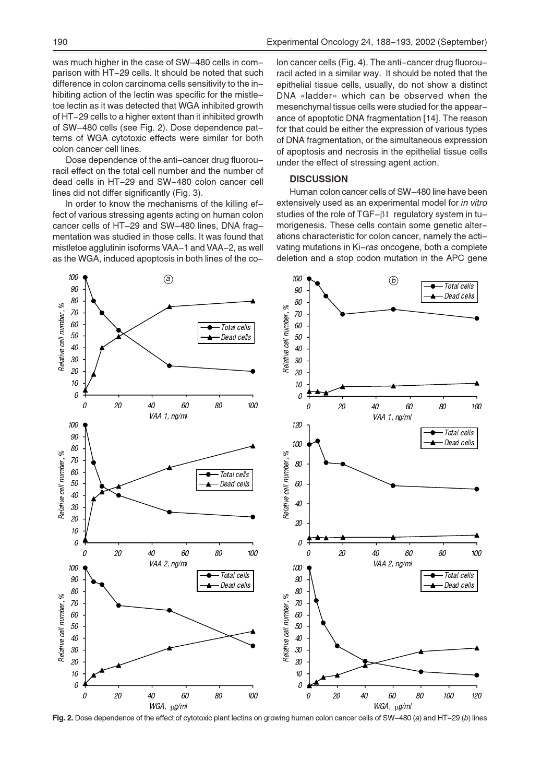was much higher in the case of SW-480 cells in comparison with HT-29 cells. It should be noted that such difference in colon carcinoma cells sensitivity to the inhibiting action of the lectin was specific for the mistletoe lectin as it was detected that WGA inhibited growth of HT-29 cells to a higher extent than it inhibited growth of SW-480 cells (see Fig. 2). Dose dependence patterns of WGA cytotoxic effects were similar for both colon cancer cell lines.

Dose dependence of the anti-cancer drug fluorouracil effect on the total cell number and the number of dead cells in HT-29 and SW-480 colon cancer cell lines did not differ significantly (Fig. 3).

In order to know the mechanisms of the killing effect of various stressing agents acting on human colon cancer cells of HT-29 and SW-480 lines, DNA fragmentation was studied in those cells. It was found that mistletoe agglutinin isoforms VAA-1 and VAA-2, as well as the WGA, induced apoptosis in both lines of the coIon cancer cells (Fig. 4). The anti-cancer drug fluorouracil acted in a similar way. It should be noted that the epithelial tissue cells, usually, do not show a distinct DNA «ladder» which can be observed when the mesenchymal tissue cells were studied for the appearance of apoptotic DNA fragmentation [14]. The reason for that could be either the expression of various types of DNA fragmentation, or the simultaneous expression of apoptosis and necrosis in the epithelial tissue cells under the effect of stressing agent action.

## **DISCUSSION**

Human colon cancer cells of SW-480 line have been extensively used as an experimental model for in vitro studies of the role of  $TGF-\beta 1$  regulatory system in tumorigenesis. These cells contain some genetic alterations characteristic for colon cancer, namely the activating mutations in Ki-ras oncogene, both a complete deletion and a stop codon mutation in the APC gene



Fig. 2. Dose dependence of the effect of cytotoxic plant lectins on growing human colon cancer cells of SW-480 (a) and HT-29 (b) lines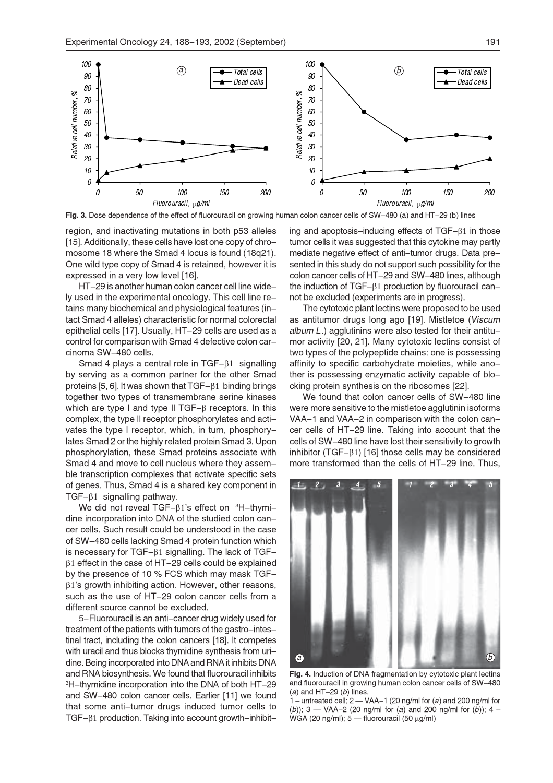

Fig. 3. Dose dependence of the effect of fluorouracil on growing human colon cancer cells of SW-480 (a) and HT-29 (b) lines

region, and inactivating mutations in both p53 alleles [15]. Additionally, these cells have lost one copy of chromosome 18 where the Smad 4 locus is found (18q21). One wild type copy of Smad 4 is retained, however it is expressed in a very low level [16].

HT-29 is another human colon cancer cell line wide-Iv used in the experimental oncology. This cell line retains many biochemical and physiological features (intact Smad 4 alleles) characteristic for normal colorectal epithelial cells [17]. Usually, HT-29 cells are used as a control for comparison with Smad 4 defective colon carcinoma SW-480 cells.

Smad 4 plays a central role in  $TGF-\beta 1$  signalling by serving as a common partner for the other Smad proteins [5, 6]. It was shown that TGF-81 binding brings together two types of transmembrane serine kinases which are type I and type II TGF- $\beta$  receptors. In this complex, the type II receptor phosphorylates and activates the type I receptor, which, in turn, phosphorylates Smad 2 or the highly related protein Smad 3. Upon phosphorylation, these Smad proteins associate with Smad 4 and move to cell nucleus where they assemble transcription complexes that activate specific sets of genes. Thus, Smad 4 is a shared key component in TGF- $\beta$ 1 signalling pathway.

We did not reveal TGF- $\beta$ 1's effect on  $\beta$ H-thvmidine incorporation into DNA of the studied colon cancer cells. Such result could be understood in the case of SW-480 cells lacking Smad 4 protein function which is necessary for  $TGF-\beta 1$  signalling. The lack of  $TGF \beta$ 1 effect in the case of HT-29 cells could be explained by the presence of 10 % FCS which may mask TGF- $\beta$ 1's growth inhibiting action. However, other reasons, such as the use of HT-29 colon cancer cells from a different source cannot be excluded.

5-Fluorouracil is an anti-cancer drug widely used for treatment of the patients with tumors of the gastro-intestinal tract, including the colon cancers [18]. It competes with uracil and thus blocks thymidine synthesis from uridine. Being incorporated into DNA and RNA it inhibits DNA and RNA biosynthesis. We found that fluorouracil inhibits <sup>3</sup>H-thymidine incorporation into the DNA of both HT-29 and SW-480 colon cancer cells. Earlier [11] we found that some anti-tumor drugs induced tumor cells to TGF-61 production. Taking into account growth-inhibiting and apoptosis-inducing effects of  $TGF-\beta1$  in those tumor cells it was suggested that this cytokine may partly mediate negative effect of anti-tumor drugs. Data presented in this study do not support such possibility for the colon cancer cells of HT-29 and SW-480 lines, although the induction of  $TGF-\beta 1$  production by fluorouracil cannot be excluded (experiments are in progress).

The cytotoxic plant lectins were proposed to be used as antitumor drugs long ago [19]. Mistletoe (Viscum album L.) agglutinins were also tested for their antitumor activity [20, 21]. Many cytotoxic lectins consist of two types of the polypeptide chains; one is possessing affinity to specific carbohydrate moieties, while another is possessing enzymatic activity capable of blocking protein synthesis on the ribosomes [22].

We found that colon cancer cells of SW-480 line were more sensitive to the mistletoe agglutinin isoforms VAA-1 and VAA-2 in comparison with the colon cancer cells of HT-29 line. Taking into account that the cells of SW-480 line have lost their sensitivity to growth inhibitor (TGF- $\beta$ 1) [16] those cells may be considered more transformed than the cells of HT-29 line. Thus,



Fig. 4. Induction of DNA fragmentation by cytotoxic plant lectins and fluorouracil in growing human colon cancer cells of SW-480  $(a)$  and HT-29  $(b)$  lines.

1 – untreated cell;  $2 - VAA - 1$  (20 ng/ml for (a) and 200 ng/ml for (b)); 3 — VAA-2 (20 ng/ml for (a) and 200 ng/ml for (b)); 4 – WGA (20 ng/ml);  $5 -$  fluorouracil (50  $\mu$ g/ml)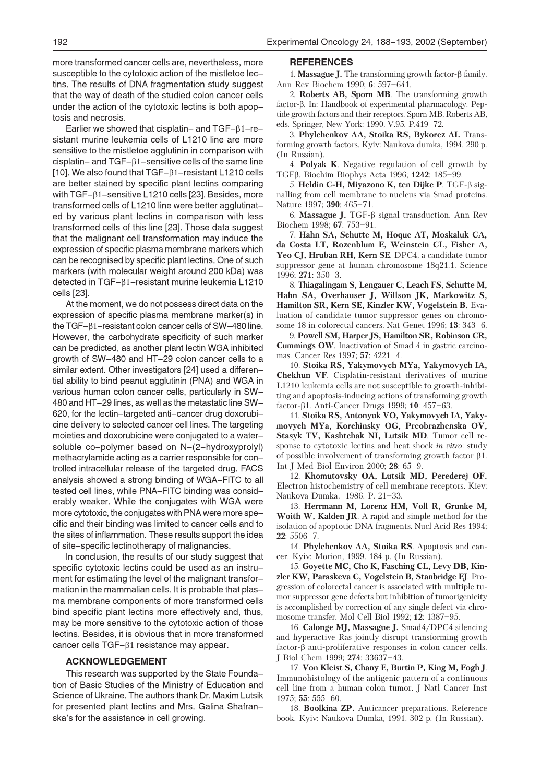more transformed cancer cells are, nevertheless, more susceptible to the cytotoxic action of the mistletoe lectins. The results of DNA fragmentation study suggest that the way of death of the studied colon cancer cells under the action of the cytotoxic lectins is both apoptosis and necrosis.

Earlier we showed that cisplatin- and  $TGF-\beta 1-re$ sistant murine leukemia cells of L1210 line are more sensitive to the mistletoe agglutinin in comparison with cisplatin- and  $TGF - \beta 1$ -sensitive cells of the same line [10]. We also found that TGF- $\beta$ 1-resistant L1210 cells are better stained by specific plant lectins comparing with TGF-β1-sensitive L1210 cells [23]. Besides, more transformed cells of L1210 line were better agglutinated by various plant lectins in comparison with less transformed cells of this line [23]. Those data suggest that the malignant cell transformation may induce the expression of specific plasma membrane markers which can be recognised by specific plant lectins. One of such markers (with molecular weight around 200 kDa) was detected in TGF-81-resistant murine leukemia L1210 cells [23].

At the moment, we do not possess direct data on the expression of specific plasma membrane marker(s) in the TGF-61-resistant colon cancer cells of SW-480 line. However, the carbohydrate specificity of such marker can be predicted, as another plant lectin WGA inhibited growth of SW-480 and HT-29 colon cancer cells to a similar extent. Other investigators [24] used a differential ability to bind peanut agglutinin (PNA) and WGA in various human colon cancer cells, particularly in SW-480 and HT-29 lines, as well as the metastatic line SW-620, for the lectin-targeted anti-cancer drug doxorubicine delivery to selected cancer cell lines. The targeting moieties and doxorubicine were conjugated to a watersoluble co-polymer based on N-(2-hydroxyprolyl) methacrylamide acting as a carrier responsible for controlled intracellular release of the targeted drug. FACS analysis showed a strong binding of WGA-FITC to all tested cell lines, while PNA-FITC binding was considerably weaker. While the conjugates with WGA were more cytotoxic, the conjugates with PNA were more specific and their binding was limited to cancer cells and to the sites of inflammation. These results support the idea of site-specific lectinotherapy of malignancies.

In conclusion, the results of our study suggest that specific cytotoxic lectins could be used as an instrument for estimating the level of the malignant transformation in the mammalian cells. It is probable that plasma membrane components of more transformed cells bind specific plant lectins more effectively and, thus, may be more sensitive to the cytotoxic action of those lectins. Besides, it is obvious that in more transformed cancer cells TGF-β1 resistance may appear.

### **ACKNOWLEDGEMENT**

This research was supported by the State Foundation of Basic Studies of the Ministry of Education and Science of Ukraine. The authors thank Dr. Maxim Lutsik for presented plant lectins and Mrs. Galina Shafranska's for the assistance in cell growing.

#### **REFERENCES**

1. **Massague J.** The transforming growth factor- $\beta$  family. Ann Rev Biochem 1990; 6: 597-641.

2. Roberts AB, Sporn MB. The transforming growth factor-β. In: Handbook of experimental pharmacology. Peptide growth factors and their receptors. Sporn MB, Roberts AB, eds. Springer, New York: 1990, V.95. P.419–72.

3. Phylchenkov AA, Stoika RS, Bykorez AI. Transforming growth factors. Kyiv: Naukova dumka, 1994. 290 p. (In Russian).

4. Polyak K. Negative regulation of cell growth by ТGFβ. Biochim Biophys Acta 1996; 1242: 185-99.

5. Heldin C-H, Miyazono K, ten Dijke P. TGF-β signalling from cell membrane to nucleus via Smad proteins. Nature 1997; 390: 465-71.

6. Massague J. TGF- $\beta$  signal transduction. Ann Rev Biochem 1998; 67: 753-91.

7. Hahn SA, Schutte M, Hoque AT, Moskaluk CA, da Costa LT, Rozenblum E, Weinstein CL, Fisher A, Yeo CJ, Hruban RH, Kern SE. DPC4, a candidate tumor suppressor gene at human chromosome 18q21.1. Science  $1996; 271: 350-3.$ 

8. Thiagalingam S, Lengauer C, Leach FS, Schutte M, Hahn SA, Overhauser J, Willson JK, Markowitz S, Hamilton SR, Kern SE, Kinzler KW, Vogelstein B. Evaluation of candidate tumor suppressor genes on chromosome 18 in colorectal cancers. Nat Genet 1996; 13: 343-6.

9. Powell SM, Harper JS, Hamilton SR, Robinson CR, **Cummings OW**. Inactivation of Smad 4 in gastric carcinomas. Cancer Res 1997; 57: 4221-4.

10. Stoika RS, Yakymovych MYa, Yakymovych IA. **Chekhun VF.** Cisplatin-resistant derivatives of murine L1210 leukemia cells are not susceptible to growth-inhibiting and apoptosis-inducing actions of transforming growth factor- $\beta$ 1. Anti-Cancer Drugs 1999; 10: 457–63.

11. Stoika RS, Antonyuk VO, Yakymovych IA, Yakymovych MYa, Korchinsky OG, Preobrazhenska OV, Stasyk TV, Kashtchak NI, Lutsik MD. Tumor cell response to cytotoxic lectins and heat shock in vitro: study of possible involvement of transforming growth factor  $\beta$ 1. Int J Med Biol Environ 2000; 28:  $65-9$ .

12. Khomutovsky OA, Lutsik MD, Perederej OF. Electron histochemistry of cell membrane receptors. Kiev: Naukova Dumka, 1986. P. 21-33.

13. Herrmann M, Lorenz HM, Voll R, Grunke M, Woith W, Kalden JR. A rapid and simple method for the isolation of apoptotic DNA fragments. Nucl Acid Res 1994;  $22:5506 - 7.$ 

14. Phylchenkov AA, Stoika RS. Apoptosis and cancer. Kyiv: Morion, 1999. 184 p. (In Russian).

15. Goyette MC, Cho K, Fasching CL, Levy DB, Kinzler KW, Paraskeva C, Vogelstein B, Stanbridge EJ. Progression of colorectal cancer is associated with multiple tumor suppressor gene defects but inhibition of tumorigenicity is accomplished by correction of any single defect via chromosome transfer. Mol Cell Biol 1992; 12: 1387-95.

16. Calonge MJ, Massague J. Smad4/DPC4 silencing and hyperactive Ras jointly disrupt transforming growth factor- $\beta$  anti-proliferative responses in colon cancer cells. I Biol Chem 1999: 274: 33637-43.

17. Von Kleist S, Chany E, Burtin P, King M, Fogh J. Immunohistology of the antigenic pattern of a continuous cell line from a human colon tumor. J Natl Cancer Inst 1975;  $55:555-60$ .

18. Boolkina ZP. Anticancer preparations. Reference book. Kyiv: Naukova Dumka, 1991. 302 p. (In Russian).